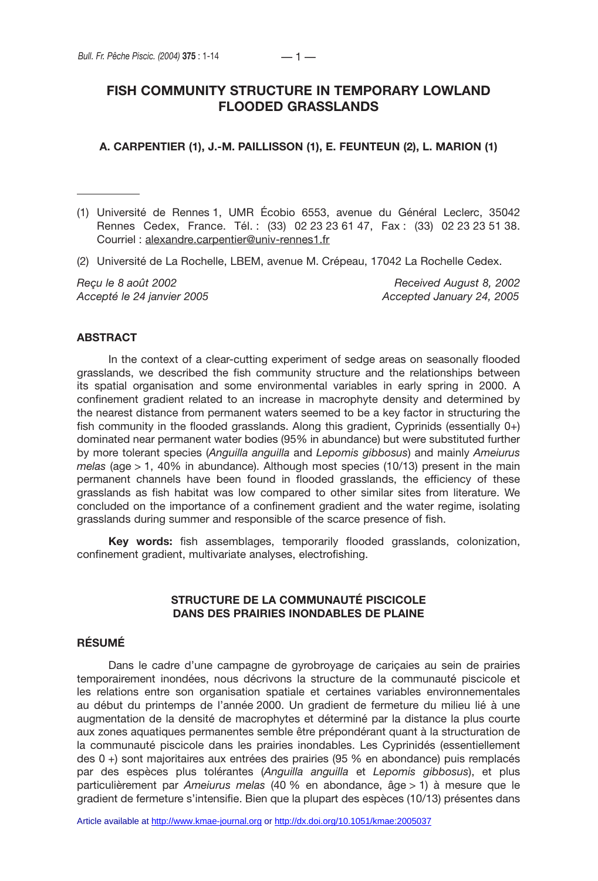# **FISH COMMUNITY STRUCTURE IN TEMPORARY LOWLAND FLOODED GRASSLANDS**

### **A. CARPENTIER (1), J.-M. PAILLISSON (1), E. FEUNTEUN (2), L. MARION (1)**

- (1) Université de Rennes 1, UMR Écobio 6553, avenue du Général Leclerc, 35042 Rennes Cedex, France. Tél. : (33) 02 23 23 61 47, Fax : (33) 02 23 23 51 38. Courriel : alexandre.carpentier@univ-rennes1.fr
- (2) Université de La Rochelle, LBEM, avenue M. Crépeau, 17042 La Rochelle Cedex.

*Reçu le 8 août 2002 Received August 8, 2002 Accepté le 24 janvier 2005 Accepted January 24, 2005*

## **ABSTRACT**

In the context of a clear-cutting experiment of sedge areas on seasonally flooded grasslands, we described the fish community structure and the relationships between its spatial organisation and some environmental variables in early spring in 2000. A confinement gradient related to an increase in macrophyte density and determined by the nearest distance from permanent waters seemed to be a key factor in structuring the fish community in the flooded grasslands. Along this gradient, Cyprinids (essentially 0+) dominated near permanent water bodies (95% in abundance) but were substituted further by more tolerant species (*Anguilla anguilla* and *Lepomis gibbosus*) and mainly *Ameiurus melas* (age > 1, 40% in abundance). Although most species (10/13) present in the main permanent channels have been found in flooded grasslands, the efficiency of these grasslands as fish habitat was low compared to other similar sites from literature. We concluded on the importance of a confinement gradient and the water regime, isolating grasslands during summer and responsible of the scarce presence of fish.

**Key words:** fish assemblages, temporarily flooded grasslands, colonization, confinement gradient, multivariate analyses, electrofishing.

## **STRUCTURE DE LA COMMUNAUTÉ PISCICOLE DANS DES PRAIRIES INONDABLES DE PLAINE**

## **RÉSUMÉ**

Dans le cadre d'une campagne de gyrobroyage de cariçaies au sein de prairies temporairement inondées, nous décrivons la structure de la communauté piscicole et les relations entre son organisation spatiale et certaines variables environnementales au début du printemps de l'année 2000. Un gradient de fermeture du milieu lié à une augmentation de la densité de macrophytes et déterminé par la distance la plus courte aux zones aquatiques permanentes semble être prépondérant quant à la structuration de la communauté piscicole dans les prairies inondables. Les Cyprinidés (essentiellement des 0 +) sont majoritaires aux entrées des prairies (95 % en abondance) puis remplacés par des espèces plus tolérantes (*Anguilla anguilla* et *Lepomis gibbosus*), et plus particulièrement par *Ameiurus melas* (40 % en abondance, âge > 1) à mesure que le gradient de fermeture s'intensifie. Bien que la plupart des espèces (10/13) présentes dans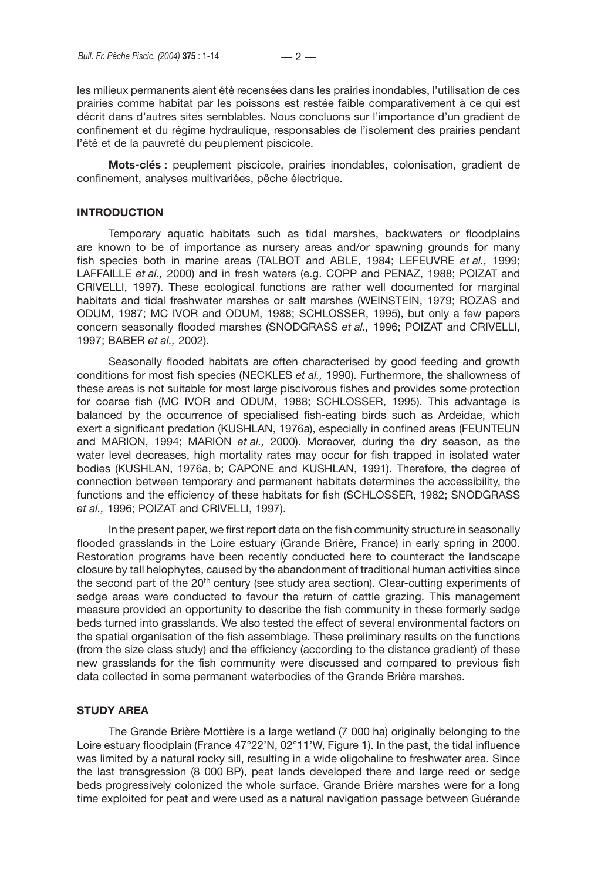les milieux permanents aient été recensées dans les prairies inondables, l'utilisation de ces prairies comme habitat par les poissons est restée faible comparativement à ce qui est décrit dans d'autres sites semblables. Nous concluons sur l'importance d'un gradient de confinement et du régime hydraulique, responsables de l'isolement des prairies pendant l'été et de la pauvreté du peuplement piscicole.

**Mots-clés :** peuplement piscicole, prairies inondables, colonisation, gradient de confinement, analyses multivariées, pêche électrique.

## **INTRODUCTION**

Temporary aquatic habitats such as tidal marshes, backwaters or floodplains are known to be of importance as nursery areas and/or spawning grounds for many fish species both in marine areas (TALBOT and ABLE, 1984; LEFEUVRE *et al.,* 1999; LAFFAILLE *et al.,* 2000) and in fresh waters (e.g. COPP and PENAZ, 1988; POIZAT and CRIVELLI, 1997). These ecological functions are rather well documented for marginal habitats and tidal freshwater marshes or salt marshes (WEINSTEIN, 1979; ROZAS and ODUM, 1987; MC IVOR and ODUM, 1988; SCHLOSSER, 1995), but only a few papers concern seasonally flooded marshes (SNODGRASS *et al.,* 1996; POIZAT and CRIVELLI, 1997; BABER *et al.,* 2002).

Seasonally flooded habitats are often characterised by good feeding and growth conditions for most fish species (NECKLES *et al.,* 1990). Furthermore, the shallowness of these areas is not suitable for most large piscivorous fishes and provides some protection for coarse fish (MC IVOR and ODUM, 1988; SCHLOSSER, 1995). This advantage is balanced by the occurrence of specialised fish-eating birds such as Ardeidae, which exert a significant predation (KUSHLAN, 1976a), especially in confined areas (FEUNTEUN and MARION, 1994; MARION *et al.,* 2000). Moreover, during the dry season, as the water level decreases, high mortality rates may occur for fish trapped in isolated water bodies (KUSHLAN, 1976a, b; CAPONE and KUSHLAN, 1991). Therefore, the degree of connection between temporary and permanent habitats determines the accessibility, the functions and the efficiency of these habitats for fish (SCHLOSSER, 1982; SNODGRASS *et al.,* 1996; POIZAT and CRIVELLI, 1997).

In the present paper, we first report data on the fish community structure in seasonally flooded grasslands in the Loire estuary (Grande Brière, France) in early spring in 2000. Restoration programs have been recently conducted here to counteract the landscape closure by tall helophytes, caused by the abandonment of traditional human activities since the second part of the 20<sup>th</sup> century (see study area section). Clear-cutting experiments of sedge areas were conducted to favour the return of cattle grazing. This management measure provided an opportunity to describe the fish community in these formerly sedge beds turned into grasslands. We also tested the effect of several environmental factors on the spatial organisation of the fish assemblage. These preliminary results on the functions (from the size class study) and the efficiency (according to the distance gradient) of these new grasslands for the fish community were discussed and compared to previous fish data collected in some permanent waterbodies of the Grande Brière marshes.

#### **STUDY AREA**

The Grande Brière Mottière is a large wetland (7 000 ha) originally belonging to the Loire estuary floodplain (France 47°22'N, 02°11'W, Figure 1). In the past, the tidal influence was limited by a natural rocky sill, resulting in a wide oligohaline to freshwater area. Since the last transgression (8 000 BP), peat lands developed there and large reed or sedge beds progressively colonized the whole surface. Grande Brière marshes were for a long time exploited for peat and were used as a natural navigation passage between Guérande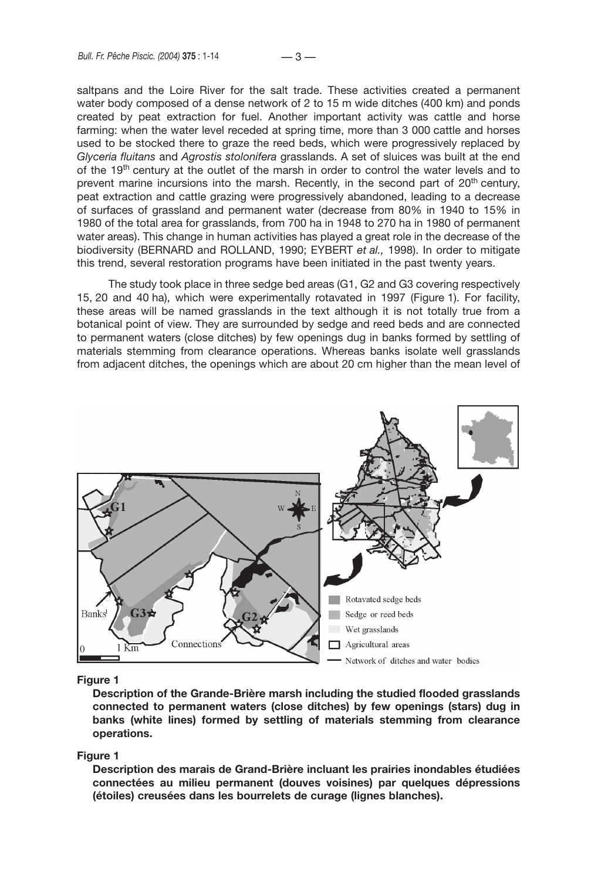saltpans and the Loire River for the salt trade. These activities created a permanent water body composed of a dense network of 2 to 15 m wide ditches (400 km) and ponds created by peat extraction for fuel. Another important activity was cattle and horse farming: when the water level receded at spring time, more than 3 000 cattle and horses used to be stocked there to graze the reed beds, which were progressively replaced by *Glyceria fluitans* and *Agrostis stolonifera* grasslands. A set of sluices was built at the end of the 19<sup>th</sup> century at the outlet of the marsh in order to control the water levels and to prevent marine incursions into the marsh. Recently, in the second part of  $20<sup>th</sup>$  century, peat extraction and cattle grazing were progressively abandoned, leading to a decrease of surfaces of grassland and permanent water (decrease from 80% in 1940 to 15% in 1980 of the total area for grasslands, from 700 ha in 1948 to 270 ha in 1980 of permanent water areas). This change in human activities has played a great role in the decrease of the biodiversity (BERNARD and ROLLAND, 1990; EYBERT *et al.,* 1998). In order to mitigate this trend, several restoration programs have been initiated in the past twenty years.

The study took place in three sedge bed areas (G1, G2 and G3 covering respectively 15, 20 and 40 ha), which were experimentally rotavated in 1997 (Figure 1). For facility, these areas will be named grasslands in the text although it is not totally true from a botanical point of view. They are surrounded by sedge and reed beds and are connected to permanent waters (close ditches) by few openings dug in banks formed by settling of materials stemming from clearance operations. Whereas banks isolate well grasslands from adjacent ditches, the openings which are about 20 cm higher than the mean level of



#### **Figure 1**

**Description of the Grande-Brière marsh including the studied flooded grasslands connected to permanent waters (close ditches) by few openings (stars) dug in banks (white lines) formed by settling of materials stemming from clearance operations.**

#### **Figure 1**

**Description des marais de Grand-Brière incluant les prairies inondables étudiées connectées au milieu permanent (douves voisines) par quelques dépressions (étoiles) creusées dans les bourrelets de curage (lignes blanches).**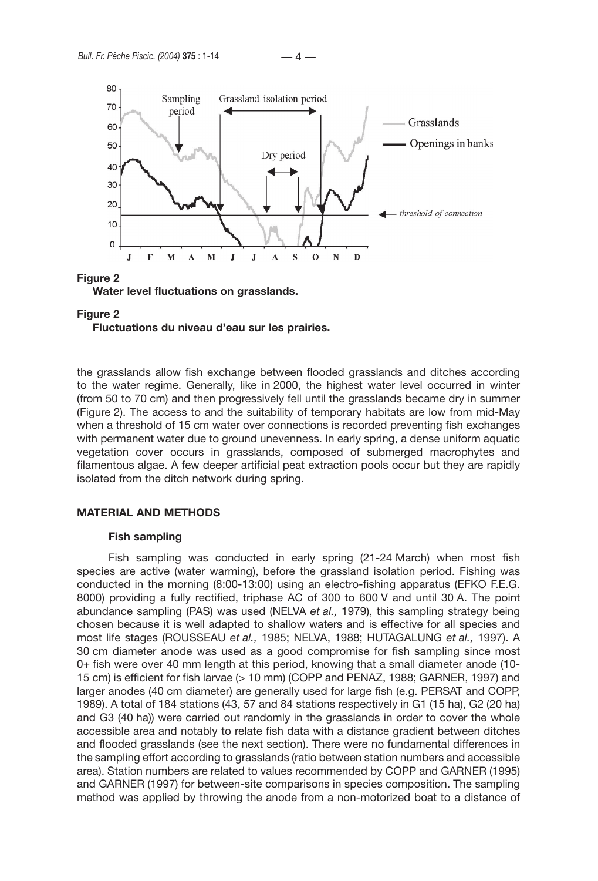



**Fluctuations du niveau d'eau sur les prairies.**

the grasslands allow fish exchange between flooded grasslands and ditches according to the water regime. Generally, like in 2000, the highest water level occurred in winter (from 50 to 70 cm) and then progressively fell until the grasslands became dry in summer (Figure 2). The access to and the suitability of temporary habitats are low from mid-May when a threshold of 15 cm water over connections is recorded preventing fish exchanges with permanent water due to ground unevenness. In early spring, a dense uniform aquatic vegetation cover occurs in grasslands, composed of submerged macrophytes and filamentous algae. A few deeper artificial peat extraction pools occur but they are rapidly isolated from the ditch network during spring.

## **MATERIAL AND METHODS**

#### **Fish sampling**

Fish sampling was conducted in early spring (21-24 March) when most fish species are active (water warming), before the grassland isolation period. Fishing was conducted in the morning (8:00-13:00) using an electro-fishing apparatus (EFKO F.E.G. 8000) providing a fully rectified, triphase AC of 300 to 600 V and until 30 A. The point abundance sampling (PAS) was used (NELVA *et al.,* 1979), this sampling strategy being chosen because it is well adapted to shallow waters and is effective for all species and most life stages (ROUSSEAU *et al.,* 1985; NELVA, 1988; HUTAGALUNG *et al.,* 1997). A 30 cm diameter anode was used as a good compromise for fish sampling since most 0+ fish were over 40 mm length at this period, knowing that a small diameter anode (10- 15 cm) is efficient for fish larvae (> 10 mm) (COPP and PENAZ, 1988; GARNER, 1997) and larger anodes (40 cm diameter) are generally used for large fish (e.g. PERSAT and COPP, 1989). A total of 184 stations (43, 57 and 84 stations respectively in G1 (15 ha), G2 (20 ha) and G3 (40 ha)) were carried out randomly in the grasslands in order to cover the whole accessible area and notably to relate fish data with a distance gradient between ditches and flooded grasslands (see the next section). There were no fundamental differences in the sampling effort according to grasslands (ratio between station numbers and accessible area). Station numbers are related to values recommended by COPP and GARNER (1995) and GARNER (1997) for between-site comparisons in species composition. The sampling method was applied by throwing the anode from a non-motorized boat to a distance of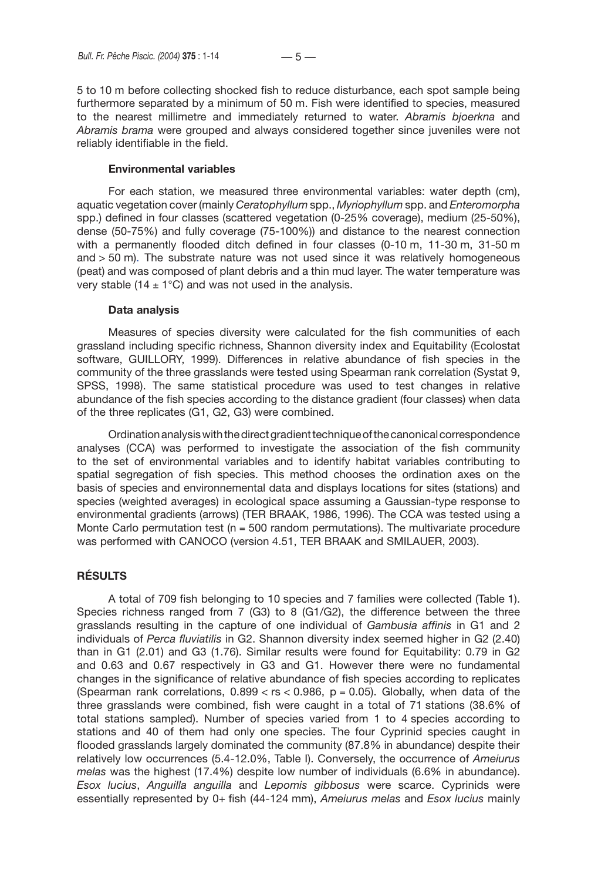5 to 10 m before collecting shocked fish to reduce disturbance, each spot sample being furthermore separated by a minimum of 50 m. Fish were identified to species, measured to the nearest millimetre and immediately returned to water. *Abramis bjoerkna* and *Abramis brama* were grouped and always considered together since juveniles were not reliably identifiable in the field.

### **Environmental variables**

For each station, we measured three environmental variables: water depth (cm), aquatic vegetation cover (mainly *Ceratophyllum* spp., *Myriophyllum* spp. and *Enteromorpha*  spp.) defined in four classes (scattered vegetation (0-25% coverage), medium (25-50%), dense (50-75%) and fully coverage (75-100%)) and distance to the nearest connection with a permanently flooded ditch defined in four classes (0-10 m, 11-30 m, 31-50 m and  $>$  50 m). The substrate nature was not used since it was relatively homogeneous (peat) and was composed of plant debris and a thin mud layer. The water temperature was very stable (14  $\pm$  1°C) and was not used in the analysis.

#### **Data analysis**

Measures of species diversity were calculated for the fish communities of each grassland including specific richness, Shannon diversity index and Equitability (Ecolostat software, GUILLORY, 1999). Differences in relative abundance of fish species in the community of the three grasslands were tested using Spearman rank correlation (Systat 9, SPSS, 1998). The same statistical procedure was used to test changes in relative abundance of the fish species according to the distance gradient (four classes) when data of the three replicates (G1, G2, G3) were combined.

Ordination analysis with the direct gradient technique of the canonical correspondence analyses (CCA) was performed to investigate the association of the fish community to the set of environmental variables and to identify habitat variables contributing to spatial segregation of fish species. This method chooses the ordination axes on the basis of species and environnemental data and displays locations for sites (stations) and species (weighted averages) in ecological space assuming a Gaussian-type response to environmental gradients (arrows) (TER BRAAK, 1986, 1996). The CCA was tested using a Monte Carlo permutation test ( $n = 500$  random permutations). The multivariate procedure was performed with CANOCO (version 4.51, TER BRAAK and SMILAUER, 2003).

## **RÉSULTS**

A total of 709 fish belonging to 10 species and 7 families were collected (Table 1). Species richness ranged from 7 (G3) to 8 (G1/G2), the difference between the three grasslands resulting in the capture of one individual of *Gambusia affinis* in G1 and 2 individuals of *Perca fluviatilis* in G2. Shannon diversity index seemed higher in G2 (2.40) than in G1 (2.01) and G3 (1.76). Similar results were found for Equitability: 0.79 in G2 and 0.63 and 0.67 respectively in G3 and G1. However there were no fundamental changes in the significance of relative abundance of fish species according to replicates (Spearman rank correlations,  $0.899 <$  rs  $< 0.986$ , p = 0.05). Globally, when data of the three grasslands were combined, fish were caught in a total of 71 stations (38.6% of total stations sampled). Number of species varied from 1 to 4 species according to stations and 40 of them had only one species. The four Cyprinid species caught in flooded grasslands largely dominated the community (87.8% in abundance) despite their relatively low occurrences (5.4-12.0%, Table I). Conversely, the occurrence of *Ameiurus melas* was the highest (17.4%) despite low number of individuals (6.6% in abundance). *Esox lucius*, *Anguilla anguilla* and *Lepomis gibbosus* were scarce. Cyprinids were essentially represented by 0+ fish (44-124 mm), *Ameiurus melas* and *Esox lucius* mainly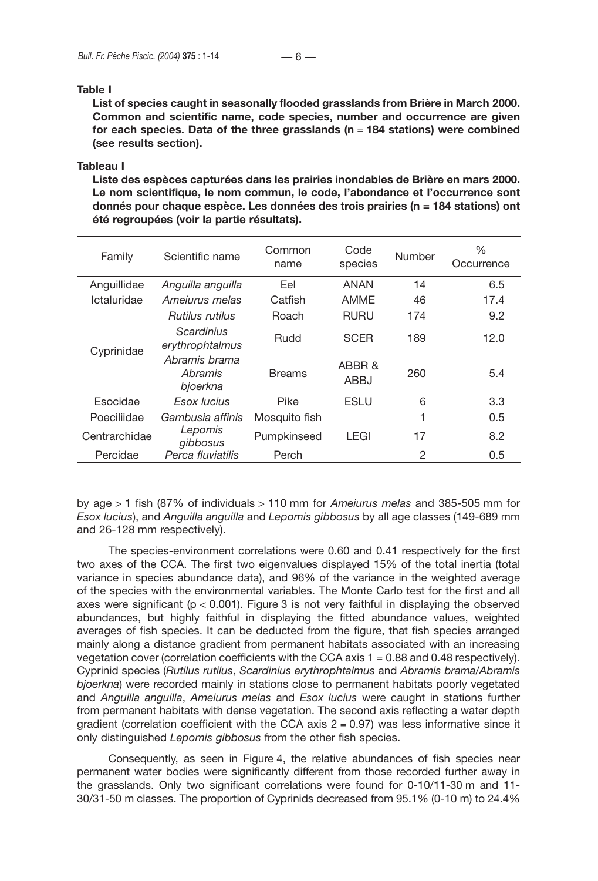### **Table I**

**List of species caught in seasonally flooded grasslands from Brière in March 2000. Common and scientific name, code species, number and occurrence are given for each species. Data of the three grasslands (n** = **184 stations) were combined (see results section).**

#### **Tableau I**

**Liste des espèces capturées dans les prairies inondables de Brière en mars 2000. Le nom scientifique, le nom commun, le code, l'abondance et l'occurrence sont donnés pour chaque espèce. Les données des trois prairies (n = 184 stations) ont été regroupées (voir la partie résultats).**

| Family        | Scientific name                      | Common<br>name | Code<br>species | Number | ℅<br>Occurrence |
|---------------|--------------------------------------|----------------|-----------------|--------|-----------------|
| Anguillidae   | Anguilla anguilla                    | Eel            | ANAN            | 14     | 6.5             |
| Ictaluridae   | Amejurus melas                       | Catfish        | AMME            | 46     | 17.4            |
| Cyprinidae    | Rutilus rutilus                      | Roach          | <b>RURU</b>     | 174    | 9.2             |
|               | Scardinius<br>erythrophtalmus        | Rudd           | <b>SCER</b>     | 189    | 12.0            |
|               | Abramis brama<br>Abramis<br>bjoerkna | <b>Breams</b>  | ABBR &<br>ABBJ  | 260    | 5.4             |
| Esocidae      | Esox Iucius                          | Pike           | <b>ESLU</b>     | 6      | 3.3             |
| Poeciliidae   | Gambusia affinis                     | Mosquito fish  |                 | 1      | 0.5             |
| Centrarchidae | Lepomis<br>gibbosus                  | Pumpkinseed    | LEGI            | 17     | 8.2             |
| Percidae      | Perca fluviatilis                    | Perch          |                 | 2      | 0.5             |

by age > 1 fish (87% of individuals > 110 mm for *Ameiurus melas* and 385-505 mm for *Esox lucius*), and *Anguilla anguilla* and *Lepomis gibbosus* by all age classes (149-689 mm and 26-128 mm respectively).

The species-environment correlations were 0.60 and 0.41 respectively for the first two axes of the CCA. The first two eigenvalues displayed 15% of the total inertia (total variance in species abundance data), and 96% of the variance in the weighted average of the species with the environmental variables. The Monte Carlo test for the first and all axes were significant ( $p < 0.001$ ). Figure 3 is not very faithful in displaying the observed abundances, but highly faithful in displaying the fitted abundance values, weighted averages of fish species. It can be deducted from the figure, that fish species arranged mainly along a distance gradient from permanent habitats associated with an increasing vegetation cover (correlation coefficients with the CCA axis  $1 = 0.88$  and 0.48 respectively). Cyprinid species (*Rutilus rutilus*, *Scardinius erythrophtalmus* and *Abramis brama/Abramis bjoerkna*) were recorded mainly in stations close to permanent habitats poorly vegetated and *Anguilla anguilla*, *Ameiurus melas* and *Esox lucius* were caught in stations further from permanent habitats with dense vegetation. The second axis reflecting a water depth gradient (correlation coefficient with the CCA axis  $2 = 0.97$ ) was less informative since it only distinguished *Lepomis gibbosus* from the other fish species.

Consequently, as seen in Figure 4, the relative abundances of fish species near permanent water bodies were significantly different from those recorded further away in the grasslands. Only two significant correlations were found for 0-10/11-30 m and 11- 30/31-50 m classes. The proportion of Cyprinids decreased from 95.1% (0-10 m) to 24.4%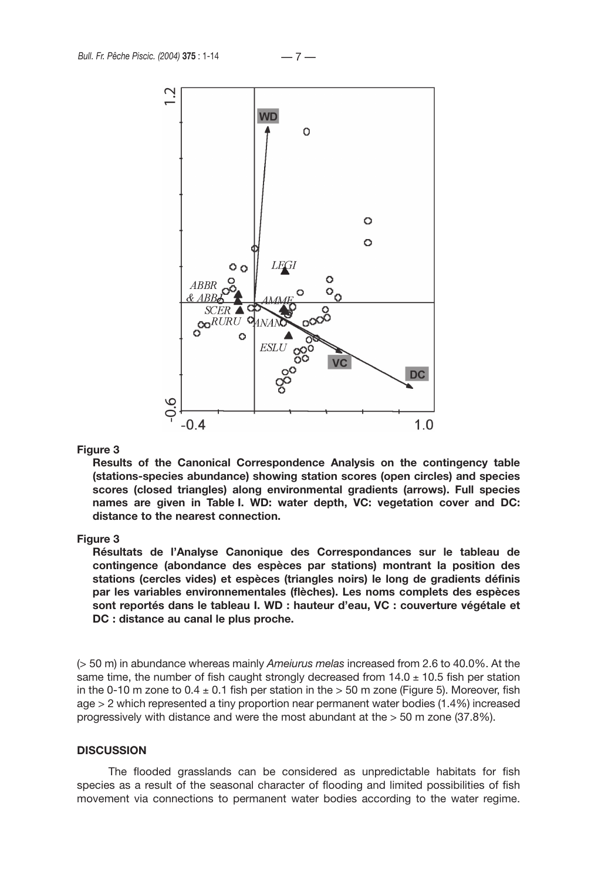

**Results of the Canonical Correspondence Analysis on the contingency table (stations-species abundance) showing station scores (open circles) and species scores (closed triangles) along environmental gradients (arrows). Full species names are given in Table I. WD: water depth, VC: vegetation cover and DC: distance to the nearest connection.**

#### **Figure 3**

**Résultats de l'Analyse Canonique des Correspondances sur le tableau de contingence (abondance des espèces par stations) montrant la position des stations (cercles vides) et espèces (triangles noirs) le long de gradients définis par les variables environnementales (flèches). Les noms complets des espèces sont reportés dans le tableau I. WD : hauteur d'eau, VC : couverture végétale et DC : distance au canal le plus proche.** 

(> 50 m) in abundance whereas mainly *Ameiurus melas* increased from 2.6 to 40.0%. At the same time, the number of fish caught strongly decreased from  $14.0 \pm 10.5$  fish per station in the 0-10 m zone to 0.4  $\pm$  0.1 fish per station in the  $>$  50 m zone (Figure 5). Moreover, fish age > 2 which represented a tiny proportion near permanent water bodies (1.4%) increased progressively with distance and were the most abundant at the > 50 m zone (37.8%).

## **DISCUSSION**

The flooded grasslands can be considered as unpredictable habitats for fish species as a result of the seasonal character of flooding and limited possibilities of fish movement via connections to permanent water bodies according to the water regime.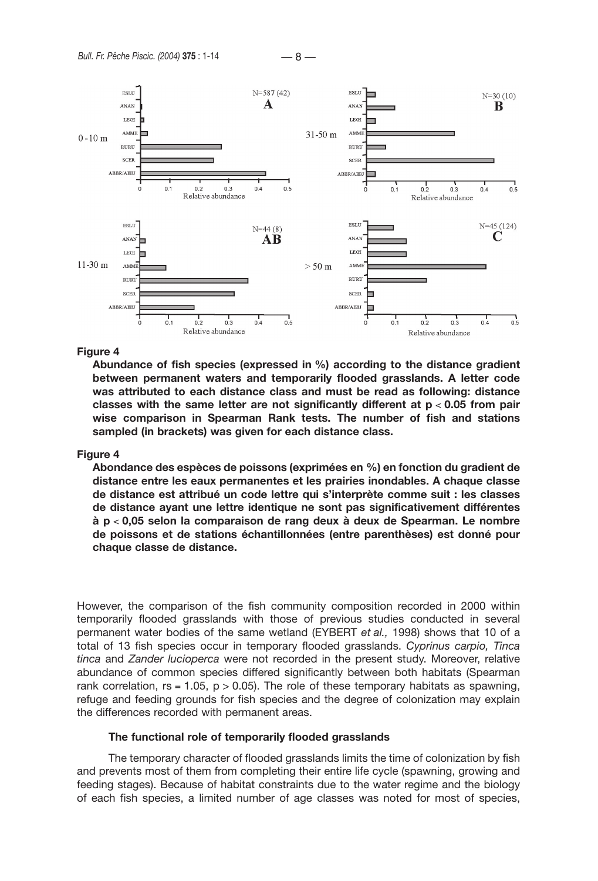



**Abundance of fish species (expressed in %) according to the distance gradient between permanent waters and temporarily flooded grasslands. A letter code was attributed to each distance class and must be read as following: distance classes with the same letter are not significantly different at p** < **0.05 from pair wise comparison in Spearman Rank tests. The number of fish and stations sampled (in brackets) was given for each distance class.**

### **Figure 4**

**Abondance des espèces de poissons (exprimées en %) en fonction du gradient de distance entre les eaux permanentes et les prairies inondables. A chaque classe de distance est attribué un code lettre qui s'interprète comme suit : les classes de distance ayant une lettre identique ne sont pas significativement différentes à p** < **0,05 selon la comparaison de rang deux à deux de Spearman. Le nombre de poissons et de stations échantillonnées (entre parenthèses) est donné pour chaque classe de distance.** 

However, the comparison of the fish community composition recorded in 2000 within temporarily flooded grasslands with those of previous studies conducted in several permanent water bodies of the same wetland (EYBERT *et al.,* 1998) shows that 10 of a total of 13 fish species occur in temporary flooded grasslands. *Cyprinus carpio, Tinca tinca* and *Zander lucioperca* were not recorded in the present study. Moreover, relative abundance of common species differed significantly between both habitats (Spearman rank correlation,  $rs = 1.05$ ,  $p > 0.05$ ). The role of these temporary habitats as spawning, refuge and feeding grounds for fish species and the degree of colonization may explain the differences recorded with permanent areas.

#### **The functional role of temporarily flooded grasslands**

The temporary character of flooded grasslands limits the time of colonization by fish and prevents most of them from completing their entire life cycle (spawning, growing and feeding stages). Because of habitat constraints due to the water regime and the biology of each fish species, a limited number of age classes was noted for most of species,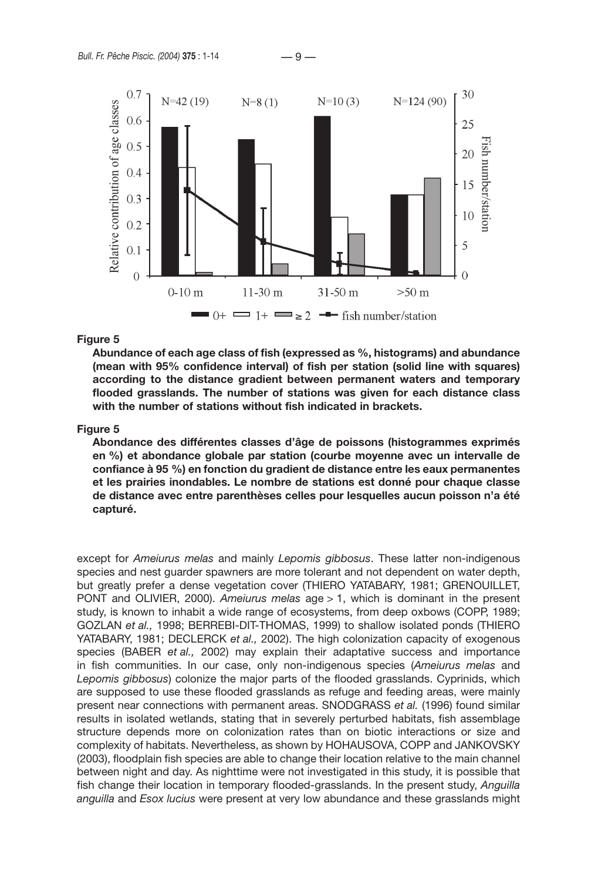

**Abundance of each age class of fish (expressed as %, histograms) and abundance (mean with 95% confidence interval) of fish per station (solid line with squares) according to the distance gradient between permanent waters and temporary flooded grasslands. The number of stations was given for each distance class with the number of stations without fish indicated in brackets.**

#### **Figure 5**

**Abondance des différentes classes d'âge de poissons (histogrammes exprimés en %) et abondance globale par station (courbe moyenne avec un intervalle de confiance à 95 %) en fonction du gradient de distance entre les eaux permanentes et les prairies inondables. Le nombre de stations est donné pour chaque classe de distance avec entre parenthèses celles pour lesquelles aucun poisson n'a été capturé.** 

except for *Ameiurus melas* and mainly *Lepomis gibbosus*. These latter non-indigenous species and nest guarder spawners are more tolerant and not dependent on water depth, but greatly prefer a dense vegetation cover (THIERO YATABARY, 1981; GRENOUILLET, PONT and OLIVIER, 2000). *Ameiurus melas* age > 1, which is dominant in the present study, is known to inhabit a wide range of ecosystems, from deep oxbows (COPP, 1989; GOZLAN *et al.,* 1998; BERREBI-DIT-THOMAS, 1999) to shallow isolated ponds (THIERO YATABARY, 1981; DECLERCK *et al.,* 2002). The high colonization capacity of exogenous species (BABER *et al.,* 2002) may explain their adaptative success and importance in fish communities. In our case, only non-indigenous species (*Ameiurus melas* and *Lepomis gibbosus*) colonize the major parts of the flooded grasslands. Cyprinids, which are supposed to use these flooded grasslands as refuge and feeding areas, were mainly present near connections with permanent areas. SNODGRASS *et al.* (1996) found similar results in isolated wetlands, stating that in severely perturbed habitats, fish assemblage structure depends more on colonization rates than on biotic interactions or size and complexity of habitats. Nevertheless, as shown by HOHAUSOVA, COPP and JANKOVSKY (2003), floodplain fish species are able to change their location relative to the main channel between night and day. As nighttime were not investigated in this study, it is possible that fish change their location in temporary flooded-grasslands. In the present study, *Anguilla anguilla* and *Esox lucius* were present at very low abundance and these grasslands might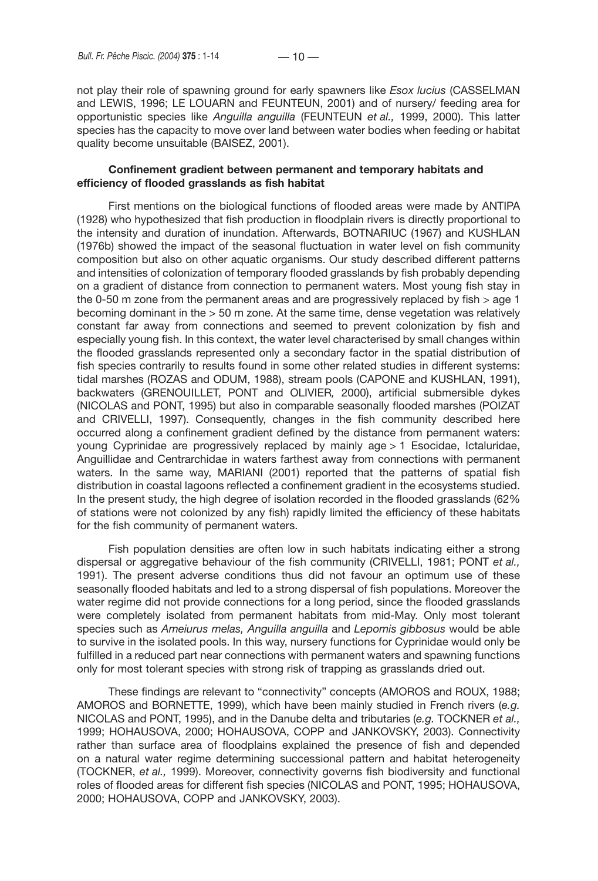not play their role of spawning ground for early spawners like *Esox lucius* (CASSELMAN and LEWIS, 1996; LE LOUARN and FEUNTEUN, 2001) and of nursery/ feeding area for opportunistic species like *Anguilla anguilla* (FEUNTEUN *et al.,* 1999, 2000). This latter species has the capacity to move over land between water bodies when feeding or habitat quality become unsuitable (BAISEZ, 2001).

### **Confinement gradient between permanent and temporary habitats and efficiency of flooded grasslands as fish habitat**

First mentions on the biological functions of flooded areas were made by ANTIPA (1928) who hypothesized that fish production in floodplain rivers is directly proportional to the intensity and duration of inundation. Afterwards, BOTNARIUC (1967) and KUSHLAN (1976b) showed the impact of the seasonal fluctuation in water level on fish community composition but also on other aquatic organisms. Our study described different patterns and intensities of colonization of temporary flooded grasslands by fish probably depending on a gradient of distance from connection to permanent waters. Most young fish stay in the 0-50 m zone from the permanent areas and are progressively replaced by fish  $>$  age 1 becoming dominant in the > 50 m zone. At the same time, dense vegetation was relatively constant far away from connections and seemed to prevent colonization by fish and especially young fish. In this context, the water level characterised by small changes within the flooded grasslands represented only a secondary factor in the spatial distribution of fish species contrarily to results found in some other related studies in different systems: tidal marshes (ROZAS and ODUM, 1988), stream pools (CAPONE and KUSHLAN, 1991), backwaters (GRENOUILLET, PONT and OLIVIER*,* 2000), artificial submersible dykes (NICOLAS and PONT, 1995) but also in comparable seasonally flooded marshes (POIZAT and CRIVELLI, 1997). Consequently, changes in the fish community described here occurred along a confinement gradient defined by the distance from permanent waters: young Cyprinidae are progressively replaced by mainly age > 1 Esocidae, Ictaluridae, Anguillidae and Centrarchidae in waters farthest away from connections with permanent waters. In the same way, MARIANI (2001) reported that the patterns of spatial fish distribution in coastal lagoons reflected a confinement gradient in the ecosystems studied. In the present study, the high degree of isolation recorded in the flooded grasslands (62% of stations were not colonized by any fish) rapidly limited the efficiency of these habitats for the fish community of permanent waters.

Fish population densities are often low in such habitats indicating either a strong dispersal or aggregative behaviour of the fish community (CRIVELLI, 1981; PONT *et al.,*  1991). The present adverse conditions thus did not favour an optimum use of these seasonally flooded habitats and led to a strong dispersal of fish populations. Moreover the water regime did not provide connections for a long period, since the flooded grasslands were completely isolated from permanent habitats from mid-May. Only most tolerant species such as *Ameiurus melas, Anguilla anguilla* and *Lepomis gibbosus* would be able to survive in the isolated pools. In this way, nursery functions for Cyprinidae would only be fulfilled in a reduced part near connections with permanent waters and spawning functions only for most tolerant species with strong risk of trapping as grasslands dried out.

These findings are relevant to "connectivity" concepts (AMOROS and ROUX, 1988; AMOROS and BORNETTE, 1999), which have been mainly studied in French rivers (*e.g.* NICOLAS and PONT, 1995), and in the Danube delta and tributaries (*e.g.* TOCKNER *et al.,*  1999; HOHAUSOVA, 2000; HOHAUSOVA, COPP and JANKOVSKY, 2003). Connectivity rather than surface area of floodplains explained the presence of fish and depended on a natural water regime determining successional pattern and habitat heterogeneity (TOCKNER, *et al.,* 1999). Moreover, connectivity governs fish biodiversity and functional roles of flooded areas for different fish species (NICOLAS and PONT, 1995; HOHAUSOVA, 2000; HOHAUSOVA, COPP and JANKOVSKY, 2003).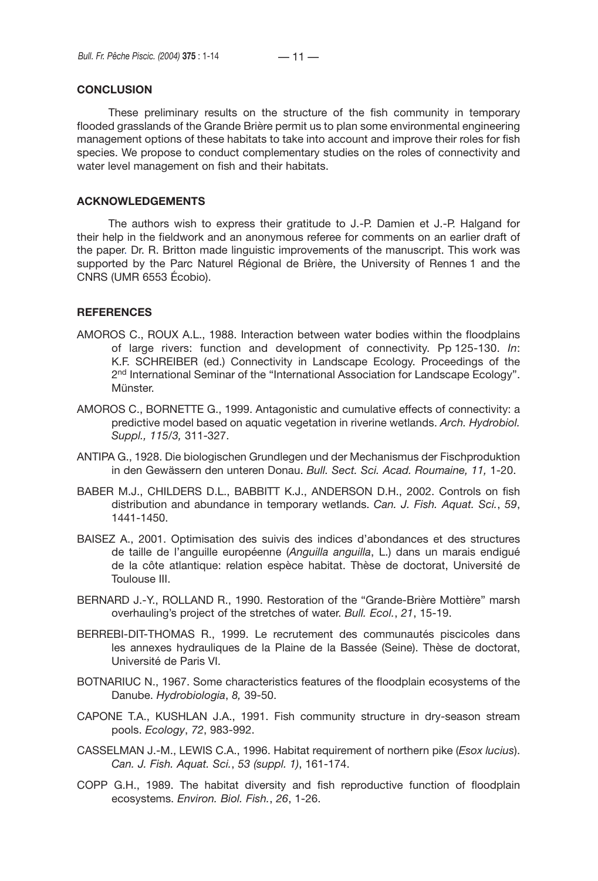### **CONCLUSION**

These preliminary results on the structure of the fish community in temporary flooded grasslands of the Grande Brière permit us to plan some environmental engineering management options of these habitats to take into account and improve their roles for fish species. We propose to conduct complementary studies on the roles of connectivity and water level management on fish and their habitats.

#### **ACKNOWLEDGEMENTS**

The authors wish to express their gratitude to J.-P. Damien et J.-P. Halgand for their help in the fieldwork and an anonymous referee for comments on an earlier draft of the paper. Dr. R. Britton made linguistic improvements of the manuscript. This work was supported by the Parc Naturel Régional de Brière, the University of Rennes 1 and the CNRS (UMR 6553 Écobio).

#### **REFERENCES**

- AMOROS C., ROUX A.L., 1988. Interaction between water bodies within the floodplains of large rivers: function and development of connectivity. Pp 125-130. *In*: K.F. SCHREIBER (ed.) Connectivity in Landscape Ecology. Proceedings of the 2<sup>nd</sup> International Seminar of the "International Association for Landscape Ecology". Münster.
- AMOROS C., BORNETTE G., 1999. Antagonistic and cumulative effects of connectivity: a predictive model based on aquatic vegetation in riverine wetlands. *Arch. Hydrobiol. Suppl., 115/3,* 311-327.
- ANTIPA G., 1928. Die biologischen Grundlegen und der Mechanismus der Fischproduktion in den Gewässern den unteren Donau. *Bull. Sect. Sci. Acad. Roumaine, 11,* 1-20.
- BABER M.J., CHILDERS D.L., BABBITT K.J., ANDERSON D.H., 2002. Controls on fish distribution and abundance in temporary wetlands. *Can. J. Fish. Aquat. Sci.*, *59*, 1441-1450.
- BAISEZ A., 2001. Optimisation des suivis des indices d'abondances et des structures de taille de l'anguille européenne (*Anguilla anguilla*, L.) dans un marais endigué de la côte atlantique: relation espèce habitat. Thèse de doctorat, Université de Toulouse III.
- BERNARD J.-Y., ROLLAND R., 1990. Restoration of the "Grande-Brière Mottière" marsh overhauling's project of the stretches of water. *Bull. Ecol.*, *21*, 15-19.
- BERREBI-DIT-THOMAS R., 1999. Le recrutement des communautés piscicoles dans les annexes hydrauliques de la Plaine de la Bassée (Seine). Thèse de doctorat, Université de Paris VI.
- BOTNARIUC N., 1967. Some characteristics features of the floodplain ecosystems of the Danube. *Hydrobiologia*, *8,* 39-50.
- CAPONE T.A., KUSHLAN J.A., 1991. Fish community structure in dry-season stream pools. *Ecology*, *72*, 983-992.
- CASSELMAN J.-M., LEWIS C.A., 1996. Habitat requirement of northern pike (*Esox lucius*). *Can. J. Fish. Aquat. Sci.*, *53 (suppl. 1)*, 161-174.
- COPP G.H., 1989. The habitat diversity and fish reproductive function of floodplain ecosystems. *Environ. Biol. Fish.*, *26*, 1-26.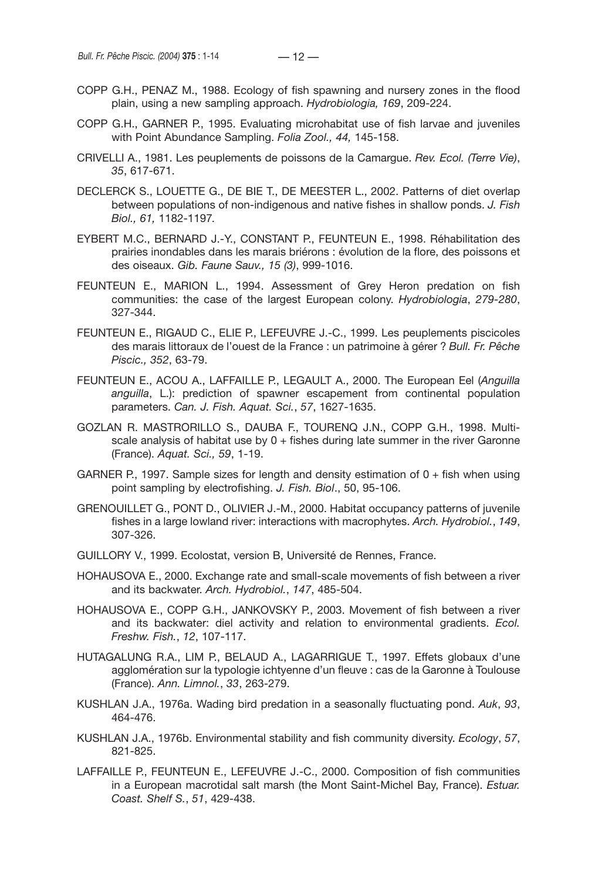- COPP G.H., PENAZ M., 1988. Ecology of fish spawning and nursery zones in the flood plain, using a new sampling approach. *Hydrobiologia, 169*, 209-224.
- COPP G.H., GARNER P., 1995. Evaluating microhabitat use of fish larvae and juveniles with Point Abundance Sampling. *Folia Zool., 44,* 145-158.
- CRIVELLI A., 1981. Les peuplements de poissons de la Camargue. *Rev. Ecol. (Terre Vie)*, *35*, 617-671.
- DECLERCK S., LOUETTE G., DE BIE T., DE MEESTER L., 2002. Patterns of diet overlap between populations of non-indigenous and native fishes in shallow ponds. *J. Fish Biol., 61,* 1182-1197*.*
- EYBERT M.C., BERNARD J.-Y., CONSTANT P., FEUNTEUN E., 1998. Réhabilitation des prairies inondables dans les marais briérons : évolution de la flore, des poissons et des oiseaux. *Gib. Faune Sauv., 15 (3)*, 999-1016.
- FEUNTEUN E., MARION L., 1994. Assessment of Grey Heron predation on fish communities: the case of the largest European colony. *Hydrobiologia*, *279-280*, 327-344.
- FEUNTEUN E., RIGAUD C., ELIE P., LEFEUVRE J.-C., 1999. Les peuplements piscicoles des marais littoraux de l'ouest de la France : un patrimoine à gérer ? *Bull. Fr. Pêche Piscic., 352*, 63-79.
- FEUNTEUN E., ACOU A., LAFFAILLE P., LEGAULT A., 2000. The European Eel (*Anguilla anguilla*, L.): prediction of spawner escapement from continental population parameters. *Can. J. Fish. Aquat. Sci.*, *57*, 1627-1635.
- GOZLAN R. MASTRORILLO S., DAUBA F., TOURENQ J.N., COPP G.H., 1998. Multiscale analysis of habitat use by  $0 +$  fishes during late summer in the river Garonne (France). *Aquat. Sci., 59*, 1-19.
- GARNER P., 1997. Sample sizes for length and density estimation of  $0 +$  fish when using point sampling by electrofishing. *J. Fish. Biol*., 50, 95-106.
- GRENOUILLET G., PONT D., OLIVIER J.-M., 2000. Habitat occupancy patterns of juvenile fishes in a large lowland river: interactions with macrophytes. *Arch. Hydrobiol.*, *149*, 307-326.
- GUILLORY V., 1999. Ecolostat, version B, Université de Rennes, France.
- HOHAUSOVA E., 2000. Exchange rate and small-scale movements of fish between a river and its backwater. *Arch. Hydrobiol.*, *147*, 485-504.
- HOHAUSOVA E., COPP G.H., JANKOVSKY P., 2003. Movement of fish between a river and its backwater: diel activity and relation to environmental gradients. *Ecol. Freshw. Fish.*, *12*, 107-117.
- HUTAGALUNG R.A., LIM P., BELAUD A., LAGARRIGUE T., 1997. Effets globaux d'une agglomération sur la typologie ichtyenne d'un fleuve : cas de la Garonne à Toulouse (France). *Ann. Limnol.*, *33*, 263-279.
- KUSHLAN J.A., 1976a. Wading bird predation in a seasonally fluctuating pond. *Auk*, *93*, 464-476.
- KUSHLAN J.A., 1976b. Environmental stability and fish community diversity. *Ecology*, *57*, 821-825.
- LAFFAILLE P., FEUNTEUN E., LEFEUVRE J.-C., 2000. Composition of fish communities in a European macrotidal salt marsh (the Mont Saint-Michel Bay, France). *Estuar. Coast. Shelf S.*, *51*, 429-438.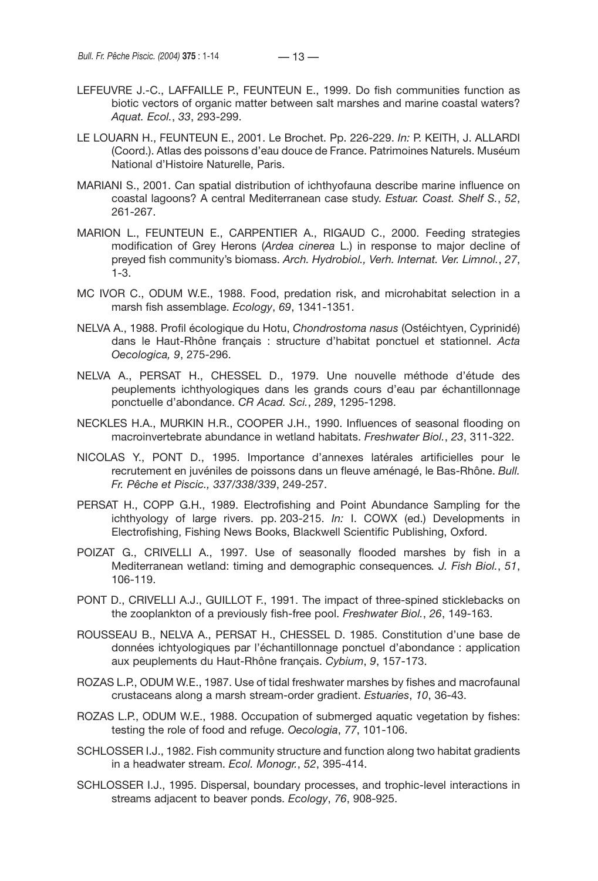- LEFEUVRE J.-C., LAFFAILLE P., FEUNTEUN E., 1999. Do fish communities function as biotic vectors of organic matter between salt marshes and marine coastal waters? *Aquat. Ecol.*, *33*, 293-299.
- LE LOUARN H., FEUNTEUN E., 2001. Le Brochet. Pp. 226-229. *In:* P. KEITH, J. ALLARDI (Coord.). Atlas des poissons d'eau douce de France. Patrimoines Naturels. Muséum National d'Histoire Naturelle, Paris.
- MARIANI S., 2001. Can spatial distribution of ichthyofauna describe marine influence on coastal lagoons? A central Mediterranean case study. *Estuar. Coast. Shelf S.*, *52*, 261-267.
- MARION L., FEUNTEUN E., CARPENTIER A., RIGAUD C., 2000. Feeding strategies modification of Grey Herons (*Ardea cinerea* L.) in response to major decline of preyed fish community's biomass. *Arch. Hydrobiol., Verh. Internat. Ver. Limnol.*, *27*, 1-3.
- MC IVOR C., ODUM W.E., 1988. Food, predation risk, and microhabitat selection in a marsh fish assemblage. *Ecology*, *69*, 1341-1351.
- NELVA A., 1988. Profil écologique du Hotu, *Chondrostoma nasus* (Ostéichtyen, Cyprinidé) dans le Haut-Rhône français : structure d'habitat ponctuel et stationnel. *Acta Oecologica, 9*, 275-296.
- NELVA A., PERSAT H., CHESSEL D., 1979. Une nouvelle méthode d'étude des peuplements ichthyologiques dans les grands cours d'eau par échantillonnage ponctuelle d'abondance. *CR Acad. Sci.*, *289*, 1295-1298.
- NECKLES H.A., MURKIN H.R., COOPER J.H., 1990. Influences of seasonal flooding on macroinvertebrate abundance in wetland habitats. *Freshwater Biol.*, *23*, 311-322.
- NICOLAS Y., PONT D., 1995. Importance d'annexes latérales artificielles pour le recrutement en juvéniles de poissons dans un fleuve aménagé, le Bas-Rhône. *Bull. Fr. Pêche et Piscic., 337/338/339*, 249-257.
- PERSAT H., COPP G.H., 1989. Electrofishing and Point Abundance Sampling for the ichthyology of large rivers. pp. 203-215. *In:* I. COWX (ed.) Developments in Electrofishing, Fishing News Books, Blackwell Scientific Publishing, Oxford.
- POIZAT G., CRIVELLI A., 1997. Use of seasonally flooded marshes by fish in a Mediterranean wetland: timing and demographic consequences*. J. Fish Biol.*, *51*, 106-119.
- PONT D., CRIVELLI A.J., GUILLOT F., 1991. The impact of three-spined sticklebacks on the zooplankton of a previously fish-free pool. *Freshwater Biol.*, *26*, 149-163.
- ROUSSEAU B., NELVA A., PERSAT H., CHESSEL D. 1985. Constitution d'une base de données ichtyologiques par l'échantillonnage ponctuel d'abondance : application aux peuplements du Haut-Rhône français. *Cybium*, *9*, 157-173.
- ROZAS L.P., ODUM W.E., 1987. Use of tidal freshwater marshes by fishes and macrofaunal crustaceans along a marsh stream-order gradient. *Estuaries*, *10*, 36-43.
- ROZAS L.P., ODUM W.E., 1988. Occupation of submerged aquatic vegetation by fishes: testing the role of food and refuge. *Oecologia*, *77*, 101-106.
- SCHLOSSER I.J., 1982. Fish community structure and function along two habitat gradients in a headwater stream. *Ecol. Monogr.*, *52*, 395-414.
- SCHLOSSER I.J., 1995. Dispersal, boundary processes, and trophic-level interactions in streams adjacent to beaver ponds. *Ecology*, *76*, 908-925.